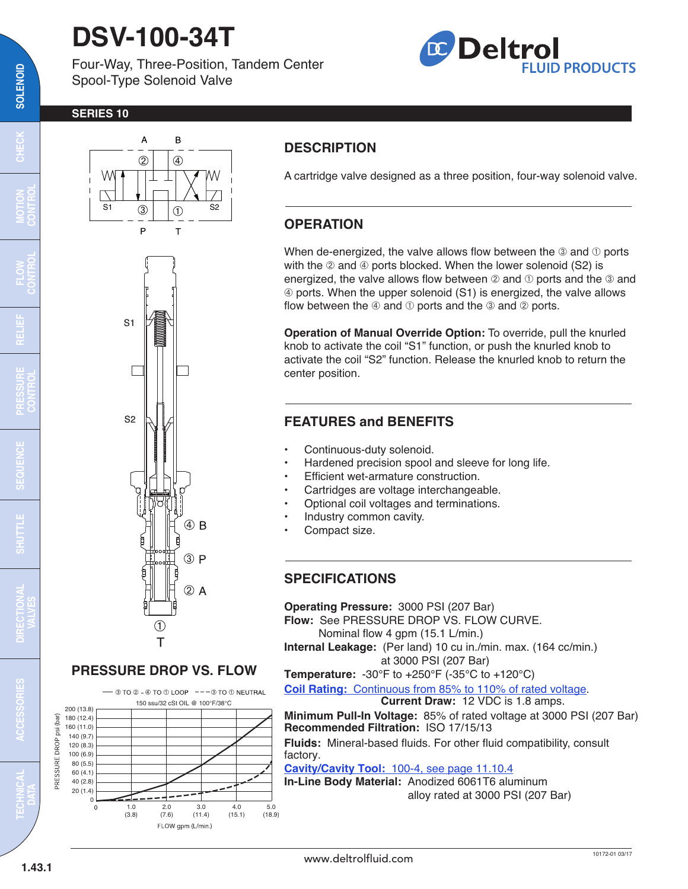# **DSV-100-34T**

 $\overline{A}$ 

B

Four-Way, Three-Position, Tandem Center Spool-Type Solenoid Valve



#### **SERIES 10**



#### **PRESSURE DROP VS. FLOW**

 $-$  3 TO 2 - 4 TO 1 LOOP  $-$  - - 3 TO 1 NEUTRAL



## **DESCRIPTION**

A cartridge valve designed as a three position, four-way solenoid valve.

### **OPERATION**

When de-energized, the valve allows flow between the  $\circledcirc$  and  $\circledcirc$  ports with the  $@$  and  $@$  ports blocked. When the lower solenoid (S2) is energized, the valve allows flow between  $\oslash$  and  $\oslash$  ports and the  $\oslash$  and √ ports. When the upper solenoid (S1) is energized, the valve allows flow between the  $\Phi$  and  $\Phi$  ports and the  $\Phi$  and  $\Phi$  ports.

**Operation of Manual Override Option:** To override, pull the knurled knob to activate the coil "S1" function, or push the knurled knob to activate the coil "S2" function. Release the knurled knob to return the center position.

### **FEATURES and BENEFITS**

- Continuous-duty solenoid.
- Hardened precision spool and sleeve for long life.
- Efficient wet-armature construction.
- Cartridges are voltage interchangeable.
- Optional coil voltages and terminations.
- Industry common cavity.
- Compact size.

#### **SPECIFICATIONS**

**Operating Pressure:** 3000 PSI (207 Bar) **Flow:** See PRESSURE DROP VS. FLOW CURVE. Nominal flow 4 gpm (15.1 L/min.) **Internal Leakage:** (Per land) 10 cu in./min. max. (164 cc/min.) at 3000 PSI (207 Bar)

**Temperature:** -30°F to +250°F (-35°C to +120°C)

**Coil Rating:** [Continuous from 85% to 110% of rated voltage.](http://www.deltrolfluid.com/sites/default/files/cartridge/Series-10_Coil.pdf)

**Current Draw:** 12 VDC is 1.8 amps.

**Minimum Pull-In Voltage:** 85% of rated voltage at 3000 PSI (207 Bar) **Recommended Filtration:** ISO 17/15/13

**Fluids:** Mineral-based fluids. For other fluid compatibility, consult factory.

**Cavity/Cavity Tool:** [100-4, see page 11.10.4](http://www.deltrolfluid.com/sites/default/files/cartridge/100-4_Cavity.pdf)

**In-Line Body Material:** Anodized 6061T6 aluminum alloy rated at 3000 PSI (207 Bar)

 $\overline{\mathbf{c}}$ 

**MOTION CONTROL**

**TECHNICAL DATA**

**1.43.1**